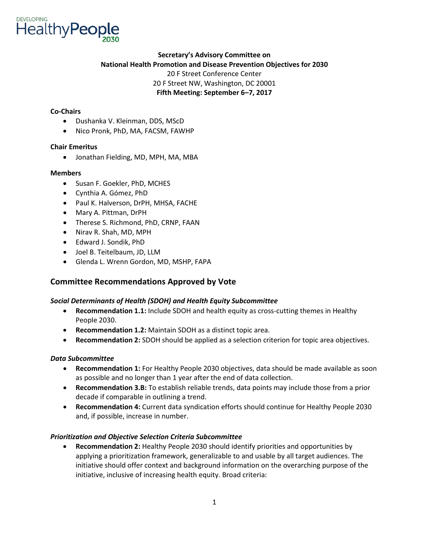

## **Secretary's Advisory Committee on National Health Promotion and Disease Prevention Objectives for 2030**  20 F Street Conference Center 20 F Street NW, Washington, DC 20001 **Fifth Meeting: September 6–7, 2017**

### **Co-Chairs**

- Dushanka V. Kleinman, DDS, MScD
- Nico Pronk, PhD, MA, FACSM, FAWHP

#### **Chair Emeritus**

• Jonathan Fielding, MD, MPH, MA, MBA

#### **Members**

- Susan F. Goekler, PhD, MCHES
- Cynthia A. Gómez, PhD
- Paul K. Halverson, DrPH, MHSA, FACHE
- Mary A. Pittman, DrPH
- Therese S. Richmond, PhD, CRNP, FAAN
- Nirav R. Shah, MD, MPH
- Edward J. Sondik, PhD
- Joel B. Teitelbaum, JD, LLM
- Glenda L. Wrenn Gordon, MD, MSHP, FAPA

## **Committee Recommendations Approved by Vote**

### *Social Determinants of Health (SDOH) and Health Equity Subcommittee*

- **Recommendation 1.1:** Include SDOH and health equity as cross-cutting themes in Healthy People 2030.
- **Recommendation 1.2:** Maintain SDOH as a distinct topic area.
- **Recommendation 2:** SDOH should be applied as a selection criterion for topic area objectives.

#### *Data Subcommittee*

- • **Recommendation 1:** For Healthy People 2030 objectives, data should be made available as soon as possible and no longer than 1 year after the end of data collection.
- **Recommendation 3.B:** To establish reliable trends, data points may include those from a prior decade if comparable in outlining a trend.
- **Recommendation 4:** Current data syndication efforts should continue for Healthy People 2030 and, if possible, increase in number.

### *Prioritization and Objective Selection Criteria Subcommittee*

 initiative should offer context and background information on the overarching purpose of the • **Recommendation 2:** Healthy People 2030 should identify priorities and opportunities by applying a prioritization framework, generalizable to and usable by all target audiences. The initiative, inclusive of increasing health equity. Broad criteria: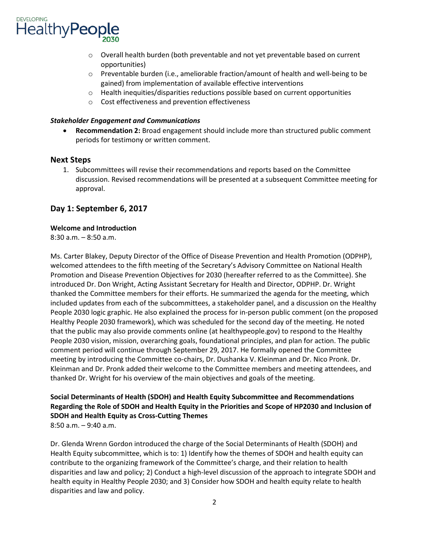

- o Overall health burden (both preventable and not yet preventable based on current opportunities)
- $\circ$  Preventable burden (i.e., ameliorable fraction/amount of health and well-being to be gained) from implementation of available effective interventions
- $\circ$  Health inequities/disparities reductions possible based on current opportunities
- o Cost effectiveness and prevention effectiveness

#### *Stakeholder Engagement and Communications*

 periods for testimony or written comment. • **Recommendation 2:** Broad engagement should include more than structured public comment

#### **Next Steps**

1. Subcommittees will revise their recommendations and reports based on the Committee discussion. Revised recommendations will be presented at a subsequent Committee meeting for approval.

## **Day 1: September 6, 2017**

#### **Welcome and Introduction**

8:30 a.m. – 8:50 a.m.

Ms. Carter Blakey, Deputy Director of the Office of Disease Prevention and Health Promotion (ODPHP), welcomed attendees to the fifth meeting of the Secretary's Advisory Committee on National Health Promotion and Disease Prevention Objectives for 2030 (hereafter referred to as the Committee). She introduced Dr. Don Wright, Acting Assistant Secretary for Health and Director, ODPHP. Dr. Wright thanked the Committee members for their efforts. He summarized the agenda for the meeting, which included updates from each of the subcommittees, a stakeholder panel, and a discussion on the Healthy People 2030 logic graphic. He also explained the process for in-person public comment (on the proposed Healthy People 2030 framework), which was scheduled for the second day of the meeting. He noted that the public may also provide comments online (at healthypeople.gov) to respond to the Healthy People 2030 vision, mission, overarching goals, foundational principles, and plan for action. The public comment period will continue through September 29, 2017. He formally opened the Committee meeting by introducing the Committee co-chairs, Dr. Dushanka V. Kleinman and Dr. Nico Pronk. Dr. Kleinman and Dr. Pronk added their welcome to the Committee members and meeting attendees, and thanked Dr. Wright for his overview of the main objectives and goals of the meeting.

**Social Determinants of Health (SDOH) and Health Equity Subcommittee and Recommendations Regarding the Role of SDOH and Health Equity in the Priorities and Scope of HP2030 and Inclusion of SDOH and Health Equity as Cross-Cutting Themes** 

 $8:50$  a.m.  $-9:40$  a.m.

Dr. Glenda Wrenn Gordon introduced the charge of the Social Determinants of Health (SDOH) and Health Equity subcommittee, which is to: 1) Identify how the themes of SDOH and health equity can contribute to the organizing framework of the Committee's charge, and their relation to health disparities and law and policy; 2) Conduct a high-level discussion of the approach to integrate SDOH and health equity in Healthy People 2030; and 3) Consider how SDOH and health equity relate to health disparities and law and policy.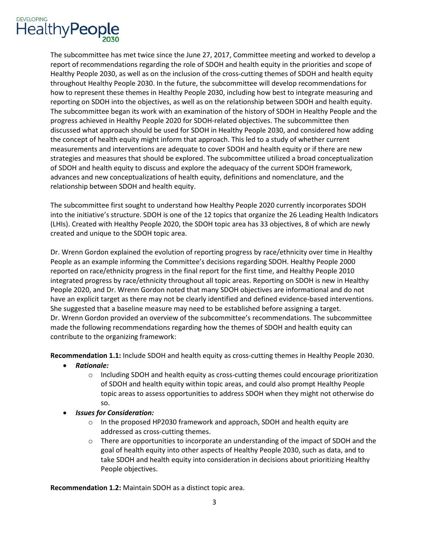

 Healthy People 2030, as well as on the inclusion of the cross-cutting themes of SDOH and health equity The subcommittee began its work with an examination of the history of SDOH in Healthy People and the discussed what approach should be used for SDOH in Healthy People 2030, and considered how adding the concept of health equity might inform that approach. This led to a study of whether current measurements and interventions are adequate to cover SDOH and health equity or if there are new of SDOH and health equity to discuss and explore the adequacy of the current SDOH framework, advances and new conceptualizations of health equity, definitions and nomenclature, and the The subcommittee has met twice since the June 27, 2017, Committee meeting and worked to develop a report of recommendations regarding the role of SDOH and health equity in the priorities and scope of throughout Healthy People 2030. In the future, the subcommittee will develop recommendations for how to represent these themes in Healthy People 2030, including how best to integrate measuring and reporting on SDOH into the objectives, as well as on the relationship between SDOH and health equity. progress achieved in Healthy People 2020 for SDOH-related objectives. The subcommittee then strategies and measures that should be explored. The subcommittee utilized a broad conceptualization relationship between SDOH and health equity.

 The subcommittee first sought to understand how Healthy People 2020 currently incorporates SDOH into the initiative's structure. SDOH is one of the 12 topics that organize the 26 Leading Health Indicators (LHIs). Created with Healthy People 2020, the SDOH topic area has 33 objectives, 8 of which are newly created and unique to the SDOH topic area.

 People as an example informing the Committee's decisions regarding SDOH. Healthy People 2000 reported on race/ethnicity progress in the final report for the first time, and Healthy People 2010 have an explicit target as there may not be clearly identified and defined evidence-based interventions. Dr. Wrenn Gordon explained the evolution of reporting progress by race/ethnicity over time in Healthy integrated progress by race/ethnicity throughout all topic areas. Reporting on SDOH is new in Healthy People 2020, and Dr. Wrenn Gordon noted that many SDOH objectives are informational and do not She suggested that a baseline measure may need to be established before assigning a target. Dr. Wrenn Gordon provided an overview of the subcommittee's recommendations. The subcommittee made the following recommendations regarding how the themes of SDOH and health equity can contribute to the organizing framework:

**Recommendation 1.1:** Include SDOH and health equity as cross-cutting themes in Healthy People 2030.

- *Rationale:* 
	- of SDOH and health equity within topic areas, and could also prompt Healthy People  $\circ$  Including SDOH and health equity as cross-cutting themes could encourage prioritization topic areas to assess opportunities to address SDOH when they might not otherwise do so.
- *Issues for Consideration:* 
	- o In the proposed HP2030 framework and approach, SDOH and health equity are addressed as cross-cutting themes.
	- goal of health equity into other aspects of Healthy People 2030, such as data, and to  $\circ$  There are opportunities to incorporate an understanding of the impact of SDOH and the take SDOH and health equity into consideration in decisions about prioritizing Healthy People objectives.

**Recommendation 1.2:** Maintain SDOH as a distinct topic area. 3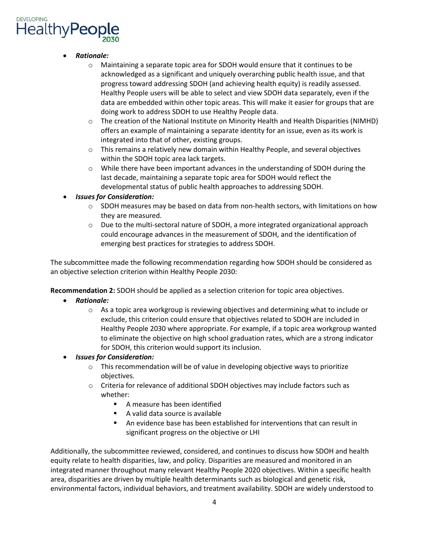- *Rationale:* 
	- $\circ$  Maintaining a separate topic area for SDOH would ensure that it continues to be acknowledged as a significant and uniquely overarching public health issue, and that Healthy People users will be able to select and view SDOH data separately, even if the data are embedded within other topic areas. This will make it easier for groups that are progress toward addressing SDOH (and achieving health equity) is readily assessed. doing work to address SDOH to use Healthy People data.
	- o The creation of the National Institute on Minority Health and Health Disparities (NIMHD) integrated into that of other, existing groups. offers an example of maintaining a separate identity for an issue, even as its work is
	- $\circ$  This remains a relatively new domain within Healthy People, and several objectives within the SDOH topic area lack targets.
	- $\circ$  While there have been important advances in the understanding of SDOH during the last decade, maintaining a separate topic area for SDOH would reflect the developmental status of public health approaches to addressing SDOH.
- *Issues for Consideration:* 
	- $\circ$  SDOH measures may be based on data from non-health sectors, with limitations on how they are measured.
	- could encourage advances in the measurement of SDOH, and the identification of  $\circ$  Due to the multi-sectoral nature of SDOH, a more integrated organizational approach emerging best practices for strategies to address SDOH.

The subcommittee made the following recommendation regarding how SDOH should be considered as an objective selection criterion within Healthy People 2030:

**Recommendation 2:** SDOH should be applied as a selection criterion for topic area objectives.

- *Rationale:* 
	- exclude, this criterion could ensure that objectives related to SDOH are included in Healthy People 2030 where appropriate. For example, if a topic area workgroup wanted to eliminate the objective on high school graduation rates, which are a strong indicator  $\circ$  As a topic area workgroup is reviewing objectives and determining what to include or for SDOH, this criterion would support its inclusion.
- *Issues for Consideration:* 
	- $\circ$  This recommendation will be of value in developing objective ways to prioritize objectives.
	- $\circ$  Criteria for relevance of additional SDOH objectives may include factors such as whether:
		- A measure has been identified
		- A valid data source is available
		- **An evidence base has been established for interventions that can result in** significant progress on the objective or LHI

 integrated manner throughout many relevant Healthy People 2020 objectives. Within a specific health environmental factors, individual behaviors, and treatment availability. SDOH are widely understood to Additionally, the subcommittee reviewed, considered, and continues to discuss how SDOH and health equity relate to health disparities, law, and policy. Disparities are measured and monitored in an area, disparities are driven by multiple health determinants such as biological and genetic risk,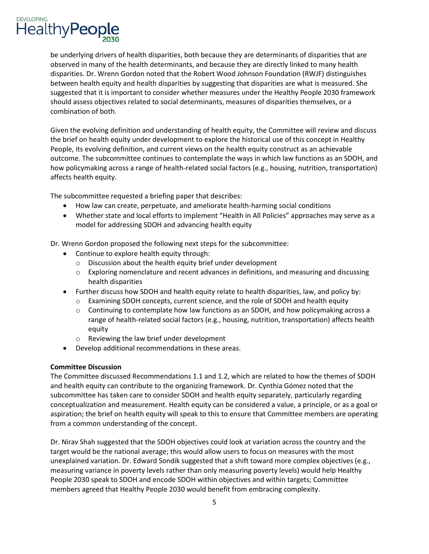

 be underlying drivers of health disparities, both because they are determinants of disparities that are should assess objectives related to social determinants, measures of disparities themselves, or a observed in many of the health determinants, and because they are directly linked to many health disparities. Dr. Wrenn Gordon noted that the Robert Wood Johnson Foundation (RWJF) distinguishes between health equity and health disparities by suggesting that disparities are what is measured. She suggested that it is important to consider whether measures under the Healthy People 2030 framework combination of both.

 People, its evolving definition, and current views on the health equity construct as an achievable Given the evolving definition and understanding of health equity, the Committee will review and discuss the brief on health equity under development to explore the historical use of this concept in Healthy outcome. The subcommittee continues to contemplate the ways in which law functions as an SDOH, and how policymaking across a range of health-related social factors (e.g., housing, nutrition, transportation) affects health equity.

The subcommittee requested a briefing paper that describes:

- How law can create, perpetuate, and ameliorate health-harming social conditions
- • Whether state and local efforts to implement "Health in All Policies" approaches may serve as a model for addressing SDOH and advancing health equity

Dr. Wrenn Gordon proposed the following next steps for the subcommittee:

- Continue to explore health equity through:
	- o Discussion about the health equity brief under development
	- $\circ$  Exploring nomenclature and recent advances in definitions, and measuring and discussing health disparities
- • Further discuss how SDOH and health equity relate to health disparities, law, and policy by:
	- o Examining SDOH concepts, current science, and the role of SDOH and health equity
	- $\circ$  Continuing to contemplate how law functions as an SDOH, and how policymaking across a range of health-related social factors (e.g., housing, nutrition, transportation) affects health equity
	- o Reviewing the law brief under development
- Develop additional recommendations in these areas.

### **Committee Discussion**

 The Committee discussed Recommendations 1.1 and 1.2, which are related to how the themes of SDOH aspiration; the brief on health equity will speak to this to ensure that Committee members are operating and health equity can contribute to the organizing framework. Dr. Cynthia Gómez noted that the subcommittee has taken care to consider SDOH and health equity separately, particularly regarding conceptualization and measurement. Health equity can be considered a value, a principle, or as a goal or from a common understanding of the concept.

 Dr. Nirav Shah suggested that the SDOH objectives could look at variation across the country and the target would be the national average; this would allow users to focus on measures with the most measuring variance in poverty levels rather than only measuring poverty levels) would help Healthy members agreed that Healthy People 2030 would benefit from embracing complexity. unexplained variation. Dr. Edward Sondik suggested that a shift toward more complex objectives (e.g., People 2030 speak to SDOH and encode SDOH within objectives and within targets; Committee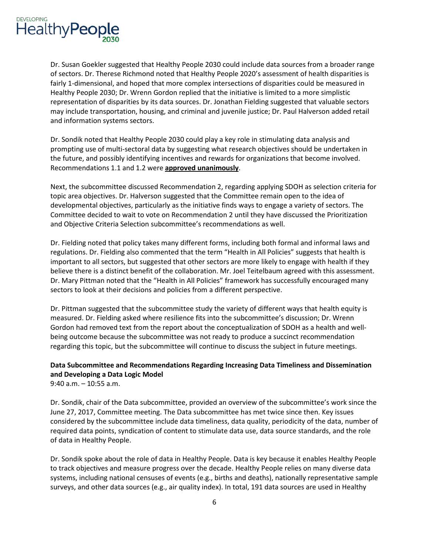

 Dr. Susan Goekler suggested that Healthy People 2030 could include data sources from a broader range Healthy People 2030; Dr. Wrenn Gordon replied that the initiative is limited to a more simplistic of sectors. Dr. Therese Richmond noted that Healthy People 2020's assessment of health disparities is fairly 1-dimensional, and hoped that more complex intersections of disparities could be measured in representation of disparities by its data sources. Dr. Jonathan Fielding suggested that valuable sectors may include transportation, housing, and criminal and juvenile justice; Dr. Paul Halverson added retail and information systems sectors.

Dr. Sondik noted that Healthy People 2030 could play a key role in stimulating data analysis and prompting use of multi-sectoral data by suggesting what research objectives should be undertaken in the future, and possibly identifying incentives and rewards for organizations that become involved. Recommendations 1.1 and 1.2 were **approved unanimously**.

 Next, the subcommittee discussed Recommendation 2, regarding applying SDOH as selection criteria for topic area objectives. Dr. Halverson suggested that the Committee remain open to the idea of Committee decided to wait to vote on Recommendation 2 until they have discussed the Prioritization developmental objectives, particularly as the initiative finds ways to engage a variety of sectors. The and Objective Criteria Selection subcommittee's recommendations as well.

 Dr. Fielding noted that policy takes many different forms, including both formal and informal laws and important to all sectors, but suggested that other sectors are more likely to engage with health if they Dr. Mary Pittman noted that the "Health in All Policies" framework has successfully encouraged many regulations. Dr. Fielding also commented that the term "Health in All Policies" suggests that health is believe there is a distinct benefit of the collaboration. Mr. Joel Teitelbaum agreed with this assessment. sectors to look at their decisions and policies from a different perspective.

Dr. Pittman suggested that the subcommittee study the variety of different ways that health equity is measured. Dr. Fielding asked where resilience fits into the subcommittee's discussion; Dr. Wrenn Gordon had removed text from the report about the conceptualization of SDOH as a health and wellbeing outcome because the subcommittee was not ready to produce a succinct recommendation regarding this topic, but the subcommittee will continue to discuss the subject in future meetings.

## **Data Subcommittee and Recommendations Regarding Increasing Data Timeliness and Dissemination and Developing a Data Logic Model**

9:40 a.m. – 10:55 a.m.

 June 27, 2017, Committee meeting. The Data subcommittee has met twice since then. Key issues required data points, syndication of content to stimulate data use, data source standards, and the role Dr. Sondik, chair of the Data subcommittee, provided an overview of the subcommittee's work since the considered by the subcommittee include data timeliness, data quality, periodicity of the data, number of of data in Healthy People.

 surveys, and other data sources (e.g., air quality index). In total, 191 data sources are used in Healthy Dr. Sondik spoke about the role of data in Healthy People. Data is key because it enables Healthy People to track objectives and measure progress over the decade. Healthy People relies on many diverse data systems, including national censuses of events (e.g., births and deaths), nationally representative sample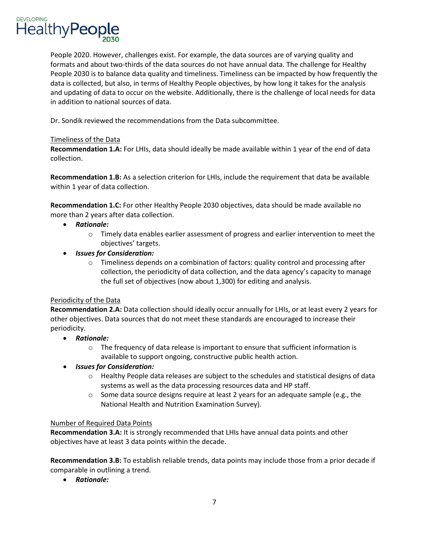

 People 2020. However, challenges exist. For example, the data sources are of varying quality and People 2030 is to balance data quality and timeliness. Timeliness can be impacted by how frequently the data is collected, but also, in terms of Healthy People objectives, by how long it takes for the analysis and updating of data to occur on the website. Additionally, there is the challenge of local needs for data in addition to national sources of data. formats and about two-thirds of the data sources do not have annual data. The challenge for Healthy

Dr. Sondik reviewed the recommendations from the Data subcommittee.

#### Timeliness of the Data

**Recommendation 1.A:** For LHIs, data should ideally be made available within 1 year of the end of data collection.

**Recommendation 1.B:** As a selection criterion for LHIs, include the requirement that data be available within 1 year of data collection.

 more than 2 years after data collection. **Recommendation 1.C:** For other Healthy People 2030 objectives, data should be made available no

- *Rationale:* 
	- objectives' targets.  $\circ$  Timely data enables earlier assessment of progress and earlier intervention to meet the
- *Issues for Consideration:* 
	- collection, the periodicity of data collection, and the data agency's capacity to manage  $\circ$  Timeliness depends on a combination of factors: quality control and processing after the full set of objectives (now about 1,300) for editing and analysis.

#### Periodicity of the Data

 other objectives. Data sources that do not meet these standards are encouraged to increase their **Recommendation 2.A:** Data collection should ideally occur annually for LHIs, or at least every 2 years for periodicity.

- *Rationale:* 
	- $\circ$  The frequency of data release is important to ensure that sufficient information is available to support ongoing, constructive public health action.
- *Issues for Consideration:* 
	- $\circ$  Healthy People data releases are subject to the schedules and statistical designs of data systems as well as the data processing resources data and HP staff.
	- $\circ$  Some data source designs require at least 2 years for an adequate sample (e.g., the National Health and Nutrition Examination Survey).

### Number of Required Data Points

**Recommendation 3.A:** It is strongly recommended that LHIs have annual data points and other objectives have at least 3 data points within the decade.

**Recommendation 3.B:** To establish reliable trends, data points may include those from a prior decade if comparable in outlining a trend.

• *Rationale:*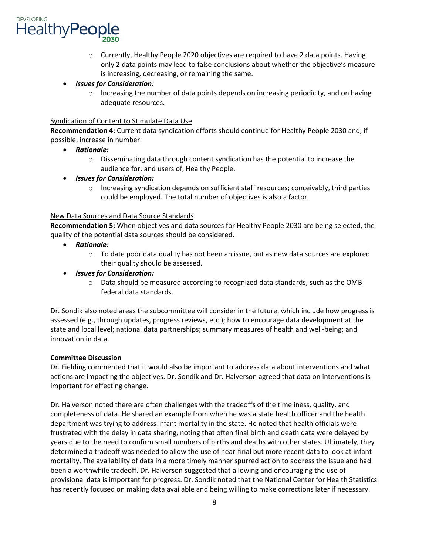

o Currently, Healthy People 2020 objectives are required to have 2 data points. Having only 2 data points may lead to false conclusions about whether the objective's measure is increasing, decreasing, or remaining the same.

## • *Issues for Consideration:*

 $\circ$  Increasing the number of data points depends on increasing periodicity, and on having adequate resources.

#### Syndication of Content to Stimulate Data Use

 possible, increase in number. **Recommendation 4:** Current data syndication efforts should continue for Healthy People 2030 and, if

- *Rationale:* 
	- audience for, and users of, Healthy People.  $\circ$  Disseminating data through content syndication has the potential to increase the
- *Issues for Consideration:* 
	- could be employed. The total number of objectives is also a factor. o Increasing syndication depends on sufficient staff resources; conceivably, third parties

#### New Data Sources and Data Source Standards

**Recommendation 5:** When objectives and data sources for Healthy People 2030 are being selected, the quality of the potential data sources should be considered.

- *Rationale:* 
	- $\circ$  To date poor data quality has not been an issue, but as new data sources are explored their quality should be assessed.
- *Issues for Consideration:* 
	- federal data standards.  $\circ$  Data should be measured according to recognized data standards, such as the OMB

 innovation in data. Dr. Sondik also noted areas the subcommittee will consider in the future, which include how progress is assessed (e.g., through updates, progress reviews, etc.); how to encourage data development at the state and local level; national data partnerships; summary measures of health and well-being; and

### **Committee Discussion**

 actions are impacting the objectives. Dr. Sondik and Dr. Halverson agreed that data on interventions is Dr. Fielding commented that it would also be important to address data about interventions and what important for effecting change.

 Dr. Halverson noted there are often challenges with the tradeoffs of the timeliness, quality, and years due to the need to confirm small numbers of births and deaths with other states. Ultimately, they determined a tradeoff was needed to allow the use of near-final but more recent data to look at infant provisional data is important for progress. Dr. Sondik noted that the National Center for Health Statistics has recently focused on making data available and being willing to make corrections later if necessary. completeness of data. He shared an example from when he was a state health officer and the health department was trying to address infant mortality in the state. He noted that health officials were frustrated with the delay in data sharing, noting that often final birth and death data were delayed by mortality. The availability of data in a more timely manner spurred action to address the issue and had been a worthwhile tradeoff. Dr. Halverson suggested that allowing and encouraging the use of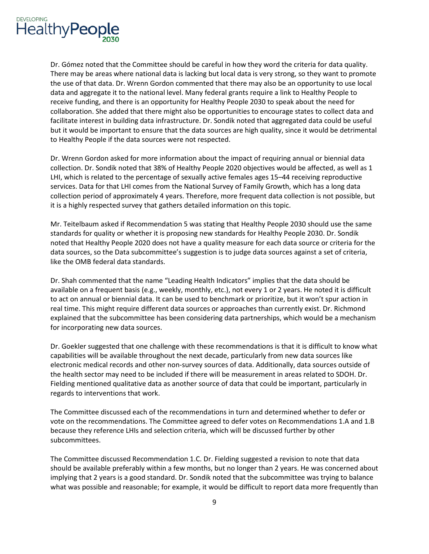

 There may be areas where national data is lacking but local data is very strong, so they want to promote data and aggregate it to the national level. Many federal grants require a link to Healthy People to receive funding, and there is an opportunity for Healthy People 2030 to speak about the need for Dr. Gómez noted that the Committee should be careful in how they word the criteria for data quality. the use of that data. Dr. Wrenn Gordon commented that there may also be an opportunity to use local collaboration. She added that there might also be opportunities to encourage states to collect data and facilitate interest in building data infrastructure. Dr. Sondik noted that aggregated data could be useful but it would be important to ensure that the data sources are high quality, since it would be detrimental to Healthy People if the data sources were not respected.

 collection. Dr. Sondik noted that 38% of Healthy People 2020 objectives would be affected, as well as 1 collection period of approximately 4 years. Therefore, more frequent data collection is not possible, but it is a highly respected survey that gathers detailed information on this topic. Dr. Wrenn Gordon asked for more information about the impact of requiring annual or biennial data LHI, which is related to the percentage of sexually active females ages 15–44 receiving reproductive services. Data for that LHI comes from the National Survey of Family Growth, which has a long data

 Mr. Teitelbaum asked if Recommendation 5 was stating that Healthy People 2030 should use the same noted that Healthy People 2020 does not have a quality measure for each data source or criteria for the data sources, so the Data subcommittee's suggestion is to judge data sources against a set of criteria, standards for quality or whether it is proposing new standards for Healthy People 2030. Dr. Sondik like the OMB federal data standards.

 real time. This might require different data sources or approaches than currently exist. Dr. Richmond explained that the subcommittee has been considering data partnerships, which would be a mechanism Dr. Shah commented that the name "Leading Health Indicators" implies that the data should be available on a frequent basis (e.g., weekly, monthly, etc.), not every 1 or 2 years. He noted it is difficult to act on annual or biennial data. It can be used to benchmark or prioritize, but it won't spur action in for incorporating new data sources.

 electronic medical records and other non-survey sources of data. Additionally, data sources outside of the health sector may need to be included if there will be measurement in areas related to SDOH. Dr. regards to interventions that work. Dr. Goekler suggested that one challenge with these recommendations is that it is difficult to know what capabilities will be available throughout the next decade, particularly from new data sources like Fielding mentioned qualitative data as another source of data that could be important, particularly in

 vote on the recommendations. The Committee agreed to defer votes on Recommendations 1.A and 1.B because they reference LHIs and selection criteria, which will be discussed further by other The Committee discussed each of the recommendations in turn and determined whether to defer or subcommittees.

 implying that 2 years is a good standard. Dr. Sondik noted that the subcommittee was trying to balance The Committee discussed Recommendation 1.C. Dr. Fielding suggested a revision to note that data should be available preferably within a few months, but no longer than 2 years. He was concerned about what was possible and reasonable; for example, it would be difficult to report data more frequently than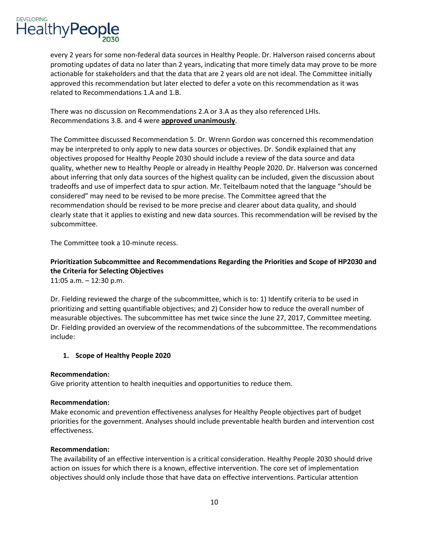every 2 years for some non-federal data sources in Healthy People. Dr. Halverson raised concerns about promoting updates of data no later than 2 years, indicating that more timely data may prove to be more actionable for stakeholders and that the data that are 2 years old are not ideal. The Committee initially approved this recommendation but later elected to defer a vote on this recommendation as it was related to Recommendations 1.A and 1.B.

There was no discussion on Recommendations 2.A or 3.A as they also referenced LHIs. Recommendations 3.B. and 4 were **approved unanimously**.

 The Committee discussed Recommendation 5. Dr. Wrenn Gordon was concerned this recommendation may be interpreted to only apply to new data sources or objectives. Dr. Sondik explained that any objectives proposed for Healthy People 2030 should include a review of the data source and data quality, whether new to Healthy People or already in Healthy People 2020. Dr. Halverson was concerned about inferring that only data sources of the highest quality can be included, given the discussion about recommendation should be revised to be more precise and clearer about data quality, and should clearly state that it applies to existing and new data sources. This recommendation will be revised by the subcommittee. tradeoffs and use of imperfect data to spur action. Mr. Teitelbaum noted that the language "should be considered" may need to be revised to be more precise. The Committee agreed that the

The Committee took a 10-minute recess.

# **Prioritization Subcommittee and Recommendations Regarding the Priorities and Scope of HP2030 and the Criteria for Selecting Objectives**

11:05 a.m. – 12:30 p.m.

Dr. Fielding reviewed the charge of the subcommittee, which is to: 1) Identify criteria to be used in prioritizing and setting quantifiable objectives; and 2) Consider how to reduce the overall number of measurable objectives. The subcommittee has met twice since the June 27, 2017, Committee meeting. Dr. Fielding provided an overview of the recommendations of the subcommittee. The recommendations include:

## **1. Scope of Healthy People 2020**

### **Recommendation:**

Give priority attention to health inequities and opportunities to reduce them.

### **Recommendation:**

 Make economic and prevention effectiveness analyses for Healthy People objectives part of budget priorities for the government. Analyses should include preventable health burden and intervention cost effectiveness.

### **Recommendation:**

The availability of an effective intervention is a critical consideration. Healthy People 2030 should drive action on issues for which there is a known, effective intervention. The core set of implementation objectives should only include those that have data on effective interventions. Particular attention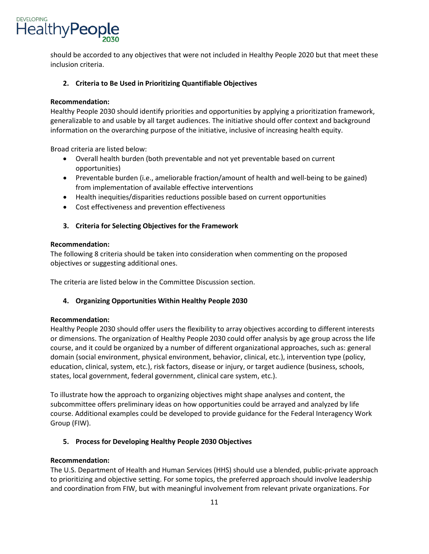

 should be accorded to any objectives that were not included in Healthy People 2020 but that meet these inclusion criteria.

## **2. Criteria to Be Used in Prioritizing Quantifiable Objectives**

### **Recommendation:**

 Healthy People 2030 should identify priorities and opportunities by applying a prioritization framework, information on the overarching purpose of the initiative, inclusive of increasing health equity. generalizable to and usable by all target audiences. The initiative should offer context and background

Broad criteria are listed below:

- • Overall health burden (both preventable and not yet preventable based on current opportunities)
- from implementation of available effective interventions • Preventable burden (i.e., ameliorable fraction/amount of health and well-being to be gained)
- Health inequities/disparities reductions possible based on current opportunities
- Cost effectiveness and prevention effectiveness

## **3. Criteria for Selecting Objectives for the Framework**

#### **Recommendation:**

The following 8 criteria should be taken into consideration when commenting on the proposed objectives or suggesting additional ones.

The criteria are listed below in the Committee Discussion section.

### **4. Organizing Opportunities Within Healthy People 2030**

### **Recommendation:**

 Healthy People 2030 should offer users the flexibility to array objectives according to different interests or dimensions. The organization of Healthy People 2030 could offer analysis by age group across the life domain (social environment, physical environment, behavior, clinical, etc.), intervention type (policy, education, clinical, system, etc.), risk factors, disease or injury, or target audience (business, schools, course, and it could be organized by a number of different organizational approaches, such as: general states, local government, federal government, clinical care system, etc.).

 To illustrate how the approach to organizing objectives might shape analyses and content, the subcommittee offers preliminary ideas on how opportunities could be arrayed and analyzed by life course. Additional examples could be developed to provide guidance for the Federal Interagency Work Group (FIW).

### **5. Process for Developing Healthy People 2030 Objectives**

#### **Recommendation:**

 to prioritizing and objective setting. For some topics, the preferred approach should involve leadership The U.S. Department of Health and Human Services (HHS) should use a blended, public-private approach and coordination from FIW, but with meaningful involvement from relevant private organizations. For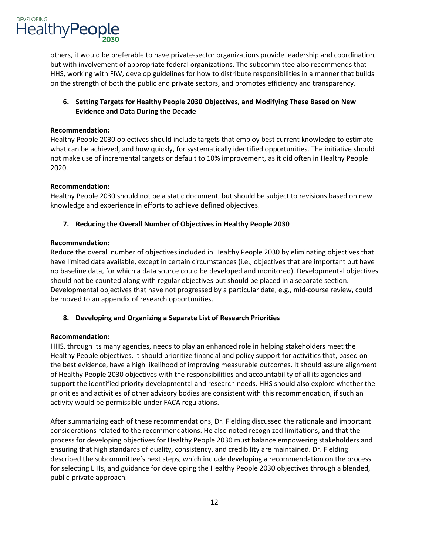

others, it would be preferable to have private-sector organizations provide leadership and coordination, but with involvement of appropriate federal organizations. The subcommittee also recommends that HHS, working with FIW, develop guidelines for how to distribute responsibilities in a manner that builds on the strength of both the public and private sectors, and promotes efficiency and transparency.

## **6. Setting Targets for Healthy People 2030 Objectives, and Modifying These Based on New Evidence and Data During the Decade**

#### **Recommendation:**

Healthy People 2030 objectives should include targets that employ best current knowledge to estimate what can be achieved, and how quickly, for systematically identified opportunities. The initiative should not make use of incremental targets or default to 10% improvement, as it did often in Healthy People 2020.

#### **Recommendation:**

 Healthy People 2030 should not be a static document, but should be subject to revisions based on new knowledge and experience in efforts to achieve defined objectives.

### **7. Reducing the Overall Number of Objectives in Healthy People 2030**

#### **Recommendation:**

 Reduce the overall number of objectives included in Healthy People 2030 by eliminating objectives that be moved to an appendix of research opportunities. have limited data available, except in certain circumstances (i.e., objectives that are important but have no baseline data, for which a data source could be developed and monitored). Developmental objectives should not be counted along with regular objectives but should be placed in a separate section. Developmental objectives that have not progressed by a particular date, e.g., mid-course review, could

### **8. Developing and Organizing a Separate List of Research Priorities**

### **Recommendation:**

 HHS, through its many agencies, needs to play an enhanced role in helping stakeholders meet the Healthy People objectives. It should prioritize financial and policy support for activities that, based on of Healthy People 2030 objectives with the responsibilities and accountability of all its agencies and support the identified priority developmental and research needs. HHS should also explore whether the priorities and activities of other advisory bodies are consistent with this recommendation, if such an the best evidence, have a high likelihood of improving measurable outcomes. It should assure alignment activity would be permissible under FACA regulations.

 process for developing objectives for Healthy People 2030 must balance empowering stakeholders and for selecting LHIs, and guidance for developing the Healthy People 2030 objectives through a blended, After summarizing each of these recommendations, Dr. Fielding discussed the rationale and important considerations related to the recommendations. He also noted recognized limitations, and that the ensuring that high standards of quality, consistency, and credibility are maintained. Dr. Fielding described the subcommittee's next steps, which include developing a recommendation on the process public-private approach.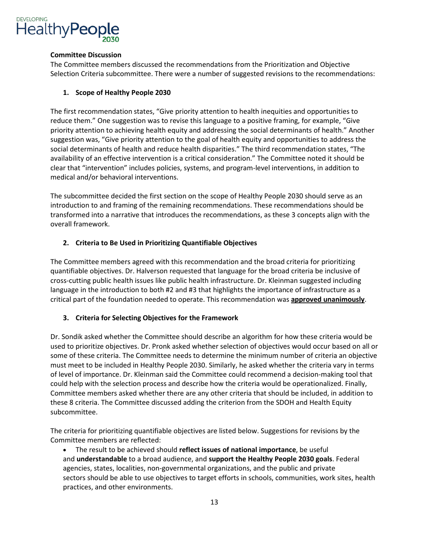

#### **Committee Discussion**

The Committee members discussed the recommendations from the Prioritization and Objective Selection Criteria subcommittee. There were a number of suggested revisions to the recommendations:

## **1. Scope of Healthy People 2030**

 The first recommendation states, "Give priority attention to health inequities and opportunities to reduce them." One suggestion was to revise this language to a positive framing, for example, "Give suggestion was, "Give priority attention to the goal of health equity and opportunities to address the availability of an effective intervention is a critical consideration." The Committee noted it should be priority attention to achieving health equity and addressing the social determinants of health." Another social determinants of health and reduce health disparities." The third recommendation states, "The clear that "intervention" includes policies, systems, and program-level interventions, in addition to medical and/or behavioral interventions.

 transformed into a narrative that introduces the recommendations, as these 3 concepts align with the The subcommittee decided the first section on the scope of Healthy People 2030 should serve as an introduction to and framing of the remaining recommendations. These recommendations should be overall framework.

## **2. Criteria to Be Used in Prioritizing Quantifiable Objectives**

 quantifiable objectives. Dr. Halverson requested that language for the broad criteria be inclusive of cross-cutting public health issues like public health infrastructure. Dr. Kleinman suggested including language in the introduction to both #2 and #3 that highlights the importance of infrastructure as a critical part of the foundation needed to operate. This recommendation was **approved unanimously**. The Committee members agreed with this recommendation and the broad criteria for prioritizing

## **3. Criteria for Selecting Objectives for the Framework**

 used to prioritize objectives. Dr. Pronk asked whether selection of objectives would occur based on all or must meet to be included in Healthy People 2030. Similarly, he asked whether the criteria vary in terms of level of importance. Dr. Kleinman said the Committee could recommend a decision-making tool that Dr. Sondik asked whether the Committee should describe an algorithm for how these criteria would be some of these criteria. The Committee needs to determine the minimum number of criteria an objective could help with the selection process and describe how the criteria would be operationalized. Finally, Committee members asked whether there are any other criteria that should be included, in addition to these 8 criteria. The Committee discussed adding the criterion from the SDOH and Health Equity subcommittee.

 The criteria for prioritizing quantifiable objectives are listed below. Suggestions for revisions by the Committee members are reflected:

 agencies, states, localities, non-governmental organizations, and the public and private practices, and other environments.<br>13 • The result to be achieved should **reflect issues of national importance**, be useful and **understandable** to a broad audience, and **support the Healthy People 2030 goals**. Federal sectors should be able to use objectives to target efforts in schools, communities, work sites, health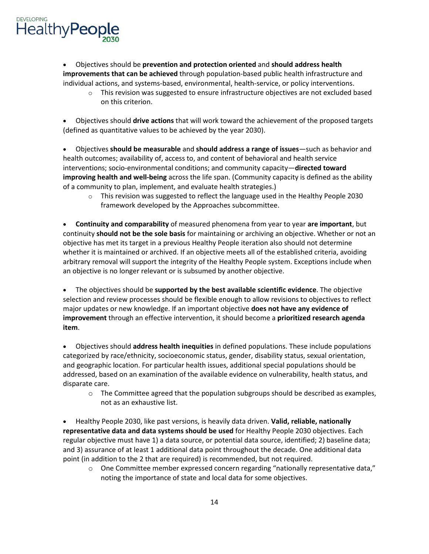

 • Objectives should be **prevention and protection oriented** and **should address health improvements that can be achieved** through population-based public health infrastructure and individual actions, and systems-based, environmental, health-service, or policy interventions.

 $\circ$  This revision was suggested to ensure infrastructure objectives are not excluded based on this criterion.

 (defined as quantitative values to be achieved by the year 2030). • Objectives should **drive actions** that will work toward the achievement of the proposed targets

 • Objectives **should be measurable** and **should address a range of issues**—such as behavior and of a community to plan, implement, and evaluate health strategies.) health outcomes; availability of, access to, and content of behavioral and health service interventions; socio-environmental conditions; and community capacity—**directed toward improving health and well-being** across the life span. (Community capacity is defined as the ability

 o This revision was suggested to reflect the language used in the Healthy People 2030 framework developed by the Approaches subcommittee.

 continuity **should not be the sole basis** for maintaining or archiving an objective. Whether or not an objective has met its target in a previous Healthy People iteration also should not determine whether it is maintained or archived. If an objective meets all of the established criteria, avoiding arbitrary removal will support the integrity of the Healthy People system. Exceptions include when an objective is no longer relevant or is subsumed by another objective. • **Continuity and comparability** of measured phenomena from year to year **are important**, but

 **item**. • The objectives should be **supported by the best available scientific evidence**. The objective selection and review processes should be flexible enough to allow revisions to objectives to reflect major updates or new knowledge. If an important objective **does not have any evidence of improvement** through an effective intervention, it should become a **prioritized research agenda** 

 addressed, based on an examination of the available evidence on vulnerability, health status, and disparate care. • Objectives should **address health inequities** in defined populations. These include populations categorized by race/ethnicity, socioeconomic status, gender, disability status, sexual orientation, and geographic location. For particular health issues, additional special populations should be

 $\circ$  The Committee agreed that the population subgroups should be described as examples, not as an exhaustive list.

 • Healthy People 2030, like past versions, is heavily data driven. **Valid, reliable, nationally representative data and data systems should be used** for Healthy People 2030 objectives. Each point (in addition to the 2 that are required) is recommended, but not required. regular objective must have 1) a data source, or potential data source, identified; 2) baseline data; and 3) assurance of at least 1 additional data point throughout the decade. One additional data

 $\circ$  One Committee member expressed concern regarding "nationally representative data," noting the importance of state and local data for some objectives.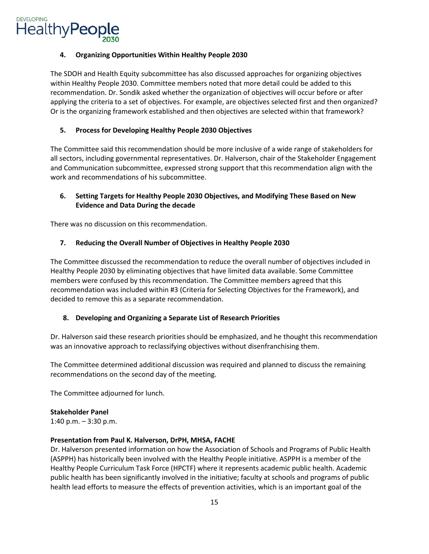## **4. Organizing Opportunities Within Healthy People 2030**

 Or is the organizing framework established and then objectives are selected within that framework? The SDOH and Health Equity subcommittee has also discussed approaches for organizing objectives within Healthy People 2030. Committee members noted that more detail could be added to this recommendation. Dr. Sondik asked whether the organization of objectives will occur before or after applying the criteria to a set of objectives. For example, are objectives selected first and then organized?

## **5. Process for Developing Healthy People 2030 Objectives**

The Committee said this recommendation should be more inclusive of a wide range of stakeholders for all sectors, including governmental representatives. Dr. Halverson, chair of the Stakeholder Engagement and Communication subcommittee, expressed strong support that this recommendation align with the work and recommendations of his subcommittee.

## **6. Setting Targets for Healthy People 2030 Objectives, and Modifying These Based on New Evidence and Data During the decade**

There was no discussion on this recommendation.

## **7. Reducing the Overall Number of Objectives in Healthy People 2030**

 The Committee discussed the recommendation to reduce the overall number of objectives included in Healthy People 2030 by eliminating objectives that have limited data available. Some Committee members were confused by this recommendation. The Committee members agreed that this recommendation was included within #3 (Criteria for Selecting Objectives for the Framework), and decided to remove this as a separate recommendation.

### **8. Developing and Organizing a Separate List of Research Priorities**

was an innovative approach to reclassifying objectives without disenfranchising them. Dr. Halverson said these research priorities should be emphasized, and he thought this recommendation

 recommendations on the second day of the meeting. The Committee determined additional discussion was required and planned to discuss the remaining

The Committee adjourned for lunch.

### **Stakeholder Panel**

1:40 p.m. – 3:30 p.m.

### **Presentation from Paul K. Halverson, DrPH, MHSA, FACHE**

Dr. Halverson presented information on how the Association of Schools and Programs of Public Health (ASPPH) has historically been involved with the Healthy People initiative. ASPPH is a member of the Healthy People Curriculum Task Force (HPCTF) where it represents academic public health. Academic public health has been significantly involved in the initiative; faculty at schools and programs of public health lead efforts to measure the effects of prevention activities, which is an important goal of the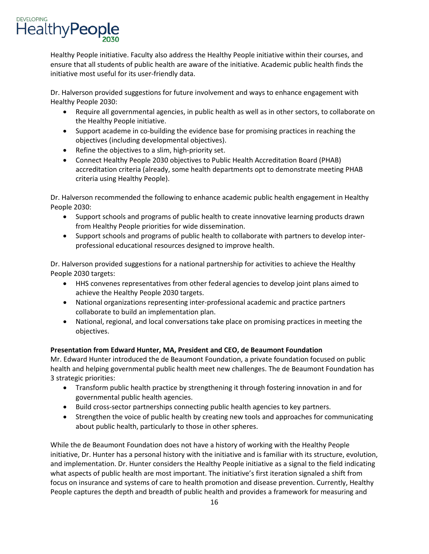Healthy People initiative. Faculty also address the Healthy People initiative within their courses, and ensure that all students of public health are aware of the initiative. Academic public health finds the initiative most useful for its user-friendly data.

 Dr. Halverson provided suggestions for future involvement and ways to enhance engagement with Healthy People 2030:

- • Require all governmental agencies, in public health as well as in other sectors, to collaborate on the Healthy People initiative.
- Support academe in co-building the evidence base for promising practices in reaching the objectives (including developmental objectives).
- Refine the objectives to a slim, high-priority set.
- • Connect Healthy People 2030 objectives to Public Health Accreditation Board (PHAB) accreditation criteria (already, some health departments opt to demonstrate meeting PHAB criteria using Healthy People).

Dr. Halverson recommended the following to enhance academic public health engagement in Healthy People 2030:

- Support schools and programs of public health to create innovative learning products drawn from Healthy People priorities for wide dissemination.
- Support schools and programs of public health to collaborate with partners to develop interprofessional educational resources designed to improve health.

Dr. Halverson provided suggestions for a national partnership for activities to achieve the Healthy People 2030 targets:

- HHS convenes representatives from other federal agencies to develop joint plans aimed to achieve the Healthy People 2030 targets.
- National organizations representing inter-professional academic and practice partners collaborate to build an implementation plan.
- • National, regional, and local conversations take place on promising practices in meeting the objectives.

# **Presentation from Edward Hunter, MA, President and CEO, de Beaumont Foundation**

 health and helping governmental public health meet new challenges. The de Beaumont Foundation has Mr. Edward Hunter introduced the de Beaumont Foundation, a private foundation focused on public 3 strategic priorities:

- Transform public health practice by strengthening it through fostering innovation in and for governmental public health agencies.
- Build cross-sector partnerships connecting public health agencies to key partners.
- Strengthen the voice of public health by creating new tools and approaches for communicating about public health, particularly to those in other spheres.

 While the de Beaumont Foundation does not have a history of working with the Healthy People initiative, Dr. Hunter has a personal history with the initiative and is familiar with its structure, evolution, People captures the depth and breadth of public health and provides a framework for measuring and and implementation. Dr. Hunter considers the Healthy People initiative as a signal to the field indicating what aspects of public health are most important. The initiative's first iteration signaled a shift from focus on insurance and systems of care to health promotion and disease prevention. Currently, Healthy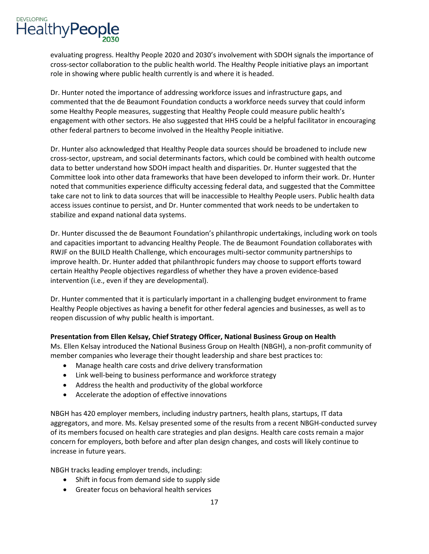cross-sector collaboration to the public health world. The Healthy People initiative plays an important evaluating progress. Healthy People 2020 and 2030's involvement with SDOH signals the importance of role in showing where public health currently is and where it is headed.

 commented that the de Beaumont Foundation conducts a workforce needs survey that could inform Dr. Hunter noted the importance of addressing workforce issues and infrastructure gaps, and some Healthy People measures, suggesting that Healthy People could measure public health's engagement with other sectors. He also suggested that HHS could be a helpful facilitator in encouraging other federal partners to become involved in the Healthy People initiative.

 Committee look into other data frameworks that have been developed to inform their work. Dr. Hunter take care not to link to data sources that will be inaccessible to Healthy People users. Public health data access issues continue to persist, and Dr. Hunter commented that work needs to be undertaken to Dr. Hunter also acknowledged that Healthy People data sources should be broadened to include new cross-sector, upstream, and social determinants factors, which could be combined with health outcome data to better understand how SDOH impact health and disparities. Dr. Hunter suggested that the noted that communities experience difficulty accessing federal data, and suggested that the Committee stabilize and expand national data systems.

 RWJF on the BUILD Health Challenge, which encourages multi-sector community partnerships to certain Healthy People objectives regardless of whether they have a proven evidence-based Dr. Hunter discussed the de Beaumont Foundation's philanthropic undertakings, including work on tools and capacities important to advancing Healthy People. The de Beaumont Foundation collaborates with improve health. Dr. Hunter added that philanthropic funders may choose to support efforts toward intervention (i.e., even if they are developmental).

 Healthy People objectives as having a benefit for other federal agencies and businesses, as well as to reopen discussion of why public health is important. Dr. Hunter commented that it is particularly important in a challenging budget environment to frame

## **Presentation from Ellen Kelsay, Chief Strategy Officer, National Business Group on Health**

Ms. Ellen Kelsay introduced the National Business Group on Health (NBGH), a non-profit community of member companies who leverage their thought leadership and share best practices to:

- Manage health care costs and drive delivery transformation
- Link well-being to business performance and workforce strategy
- Address the health and productivity of the global workforce
- Accelerate the adoption of effective innovations

 concern for employers, both before and after plan design changes, and costs will likely continue to NBGH has 420 employer members, including industry partners, health plans, startups, IT data aggregators, and more. Ms. Kelsay presented some of the results from a recent NBGH-conducted survey of its members focused on health care strategies and plan designs. Health care costs remain a major increase in future years.

NBGH tracks leading employer trends, including:

- Shift in focus from demand side to supply side
- Greater focus on behavioral health services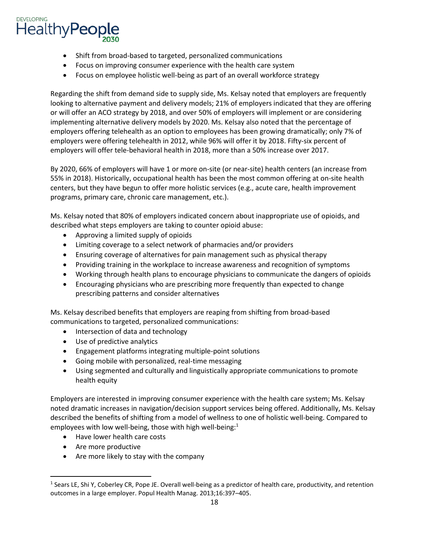- Shift from broad-based to targeted, personalized communications
- Focus on improving consumer experience with the health care system
- Focus on employee holistic well-being as part of an overall workforce strategy

 looking to alternative payment and delivery models; 21% of employers indicated that they are offering or will offer an ACO strategy by 2018, and over 50% of employers will implement or are considering employers will offer tele-behavioral health in 2018, more than a 50% increase over 2017. Regarding the shift from demand side to supply side, Ms. Kelsay noted that employers are frequently implementing alternative delivery models by 2020. Ms. Kelsay also noted that the percentage of employers offering telehealth as an option to employees has been growing dramatically; only 7% of employers were offering telehealth in 2012, while 96% will offer it by 2018. Fifty-six percent of

By 2020, 66% of employers will have 1 or more on-site (or near-site) health centers (an increase from 55% in 2018). Historically, occupational health has been the most common offering at on-site health centers, but they have begun to offer more holistic services (e.g., acute care, health improvement programs, primary care, chronic care management, etc.).

Ms. Kelsay noted that 80% of employers indicated concern about inappropriate use of opioids, and described what steps employers are taking to counter opioid abuse:

- Approving a limited supply of opioids
- Limiting coverage to a select network of pharmacies and/or providers
- Ensuring coverage of alternatives for pain management such as physical therapy
- Providing training in the workplace to increase awareness and recognition of symptoms
- Working through health plans to encourage physicians to communicate the dangers of opioids
- • Encouraging physicians who are prescribing more frequently than expected to change prescribing patterns and consider alternatives

 Ms. Kelsay described benefits that employers are reaping from shifting from broad-based communications to targeted, personalized communications:

- Intersection of data and technology
- Use of predictive analytics
- Engagement platforms integrating multiple-point solutions
- Going mobile with personalized, real-time messaging
- Using segmented and culturally and linguistically appropriate communications to promote health equity

 noted dramatic increases in navigation/decision support services being offered. Additionally, Ms. Kelsay described the benefits of shifting from a model of wellness to one of holistic well-being. Compared to Employers are interested in improving consumer experience with the health care system; Ms. Kelsay employees with low well-being, those with high well-being:<sup>1</sup>

- Have lower health care costs
- Are more productive

 $\overline{\phantom{a}}$ 

• Are more likely to stay with the company

<sup>&</sup>lt;sup>1</sup> Sears LE, Shi Y, Coberley CR, Pope JE. Overall well-being as a predictor of health care, productivity, and retention outcomes in a large employer. Popul Health Manag. 2013;16:397–405.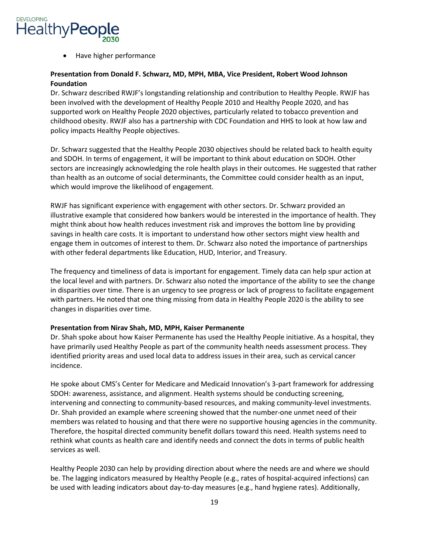

• Have higher performance

## **Presentation from Donald F. Schwarz, MD, MPH, MBA, Vice President, Robert Wood Johnson Foundation**

 been involved with the development of Healthy People 2010 and Healthy People 2020, and has supported work on Healthy People 2020 objectives, particularly related to tobacco prevention and Dr. Schwarz described RWJF's longstanding relationship and contribution to Healthy People. RWJF has childhood obesity. RWJF also has a partnership with CDC Foundation and HHS to look at how law and policy impacts Healthy People objectives.

 Dr. Schwarz suggested that the Healthy People 2030 objectives should be related back to health equity and SDOH. In terms of engagement, it will be important to think about education on SDOH. Other sectors are increasingly acknowledging the role health plays in their outcomes. He suggested that rather than health as an outcome of social determinants, the Committee could consider health as an input, which would improve the likelihood of engagement.

 RWJF has significant experience with engagement with other sectors. Dr. Schwarz provided an illustrative example that considered how bankers would be interested in the importance of health. They engage them in outcomes of interest to them. Dr. Schwarz also noted the importance of partnerships with other federal departments like Education, HUD, Interior, and Treasury. might think about how health reduces investment risk and improves the bottom line by providing savings in health care costs. It is important to understand how other sectors might view health and

 in disparities over time. There is an urgency to see progress or lack of progress to facilitate engagement with partners. He noted that one thing missing from data in Healthy People 2020 is the ability to see The frequency and timeliness of data is important for engagement. Timely data can help spur action at the local level and with partners. Dr. Schwarz also noted the importance of the ability to see the change changes in disparities over time.

#### **Presentation from Nirav Shah, MD, MPH, Kaiser Permanente**

 Dr. Shah spoke about how Kaiser Permanente has used the Healthy People initiative. As a hospital, they have primarily used Healthy People as part of the community health needs assessment process. They identified priority areas and used local data to address issues in their area, such as cervical cancer incidence.

He spoke about CMS's Center for Medicare and Medicaid Innovation's 3-part framework for addressing SDOH: awareness, assistance, and alignment. Health systems should be conducting screening, intervening and connecting to community-based resources, and making community-level investments. Dr. Shah provided an example where screening showed that the number-one unmet need of their members was related to housing and that there were no supportive housing agencies in the community. Therefore, the hospital directed community benefit dollars toward this need. Health systems need to rethink what counts as health care and identify needs and connect the dots in terms of public health services as well.

Healthy People 2030 can help by providing direction about where the needs are and where we should be. The lagging indicators measured by Healthy People (e.g., rates of hospital-acquired infections) can be used with leading indicators about day-to-day measures (e.g., hand hygiene rates). Additionally,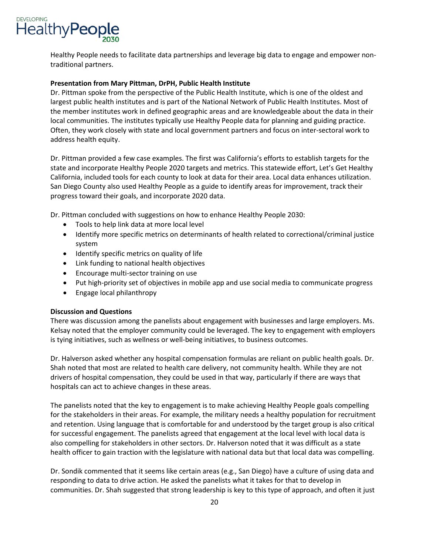

Healthy People needs to facilitate data partnerships and leverage big data to engage and empower nontraditional partners.

#### **Presentation from Mary Pittman, DrPH, Public Health Institute**

 Dr. Pittman spoke from the perspective of the Public Health Institute, which is one of the oldest and largest public health institutes and is part of the National Network of Public Health Institutes. Most of the member institutes work in defined geographic areas and are knowledgeable about the data in their local communities. The institutes typically use Healthy People data for planning and guiding practice. Often, they work closely with state and local government partners and focus on inter-sectoral work to address health equity.

 Dr. Pittman provided a few case examples. The first was California's efforts to establish targets for the state and incorporate Healthy People 2020 targets and metrics. This statewide effort, Let's Get Healthy San Diego County also used Healthy People as a guide to identify areas for improvement, track their California, included tools for each county to look at data for their area. Local data enhances utilization. progress toward their goals, and incorporate 2020 data.

Dr. Pittman concluded with suggestions on how to enhance Healthy People 2030:

- Tools to help link data at more local level
- Identify more specific metrics on determinants of health related to correctional/criminal justice system
- Identify specific metrics on quality of life
- Link funding to national health objectives
- Encourage multi-sector training on use
- Put high-priority set of objectives in mobile app and use social media to communicate progress
- Engage local philanthropy

#### **Discussion and Questions**

There was discussion among the panelists about engagement with businesses and large employers. Ms. Kelsay noted that the employer community could be leveraged. The key to engagement with employers is tying initiatives, such as wellness or well-being initiatives, to business outcomes.

 Dr. Halverson asked whether any hospital compensation formulas are reliant on public health goals. Dr. hospitals can act to achieve changes in these areas. Shah noted that most are related to health care delivery, not community health. While they are not drivers of hospital compensation, they could be used in that way, particularly if there are ways that

 and retention. Using language that is comfortable for and understood by the target group is also critical also compelling for stakeholders in other sectors. Dr. Halverson noted that it was difficult as a state The panelists noted that the key to engagement is to make achieving Healthy People goals compelling for the stakeholders in their areas. For example, the military needs a healthy population for recruitment for successful engagement. The panelists agreed that engagement at the local level with local data is health officer to gain traction with the legislature with national data but that local data was compelling.

 communities. Dr. Shah suggested that strong leadership is key to this type of approach, and often it just Dr. Sondik commented that it seems like certain areas (e.g., San Diego) have a culture of using data and responding to data to drive action. He asked the panelists what it takes for that to develop in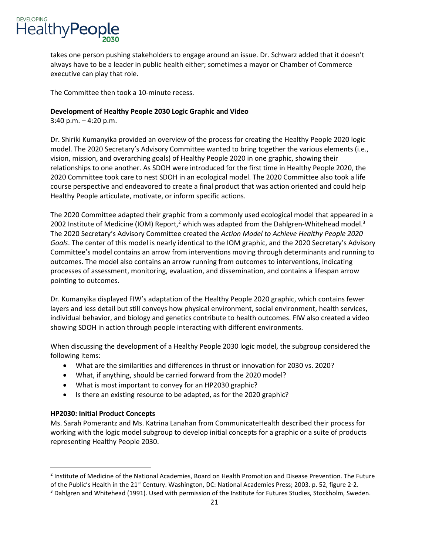takes one person pushing stakeholders to engage around an issue. Dr. Schwarz added that it doesn't always have to be a leader in public health either; sometimes a mayor or Chamber of Commerce executive can play that role.

The Committee then took a 10-minute recess.

## **Development of Healthy People 2030 Logic Graphic and Video**

3:40 p.m. – 4:20 p.m.

 model. The 2020 Secretary's Advisory Committee wanted to bring together the various elements (i.e., vision, mission, and overarching goals) of Healthy People 2020 in one graphic, showing their 2020 Committee took care to nest SDOH in an ecological model. The 2020 Committee also took a life Healthy People articulate, motivate, or inform specific actions. Dr. Shiriki Kumanyika provided an overview of the process for creating the Healthy People 2020 logic relationships to one another. As SDOH were introduced for the first time in Healthy People 2020, the course perspective and endeavored to create a final product that was action oriented and could help

The 2020 Committee adapted their graphic from a commonly used ecological model that appeared in a 2002 Institute of Medicine (IOM) Report,<sup>2</sup> which was adapted from the Dahlgren-Whitehead model.<sup>3</sup> The 2020 Secretary's Advisory Committee created the *Action Model to Achieve Healthy People 2020 Goals*. The center of this model is nearly identical to the IOM graphic, and the 2020 Secretary's Advisory Committee's model contains an arrow from interventions moving through determinants and running to outcomes. The model also contains an arrow running from outcomes to interventions, indicating processes of assessment, monitoring, evaluation, and dissemination, and contains a lifespan arrow pointing to outcomes.

 Dr. Kumanyika displayed FIW's adaptation of the Healthy People 2020 graphic, which contains fewer layers and less detail but still conveys how physical environment, social environment, health services, individual behavior, and biology and genetics contribute to health outcomes. FIW also created a video showing SDOH in action through people interacting with different environments.

When discussing the development of a Healthy People 2030 logic model, the subgroup considered the following items:

- What are the similarities and differences in thrust or innovation for 2030 vs. 2020?
- What, if anything, should be carried forward from the 2020 model?
- What is most important to convey for an HP2030 graphic?
- Is there an existing resource to be adapted, as for the 2020 graphic?

### **HP2030: Initial Product Concepts**

<u>.</u>

 working with the logic model subgroup to develop initial concepts for a graphic or a suite of products Ms. Sarah Pomerantz and Ms. Katrina Lanahan from CommunicateHealth described their process for representing Healthy People 2030.

<sup>&</sup>lt;sup>2</sup> Institute of Medicine of the National Academies, Board on Health Promotion and Disease Prevention. The Future of the Public's Health in the 21<sup>st</sup> Century. Washington, DC: National Academies Press; 2003. p. 52, figure 2-2.<br><sup>3</sup> Dahlgren and Whitehead (1991). Used with permission of the Institute for Futures Studies, Stockholm, Swed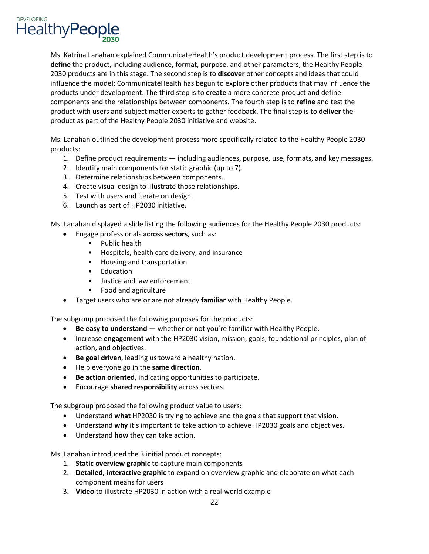

 Ms. Katrina Lanahan explained CommunicateHealth's product development process. The first step is to influence the model; CommunicateHealth has begun to explore other products that may influence the product with users and subject matter experts to gather feedback. The final step is to **deliver** the **define** the product, including audience, format, purpose, and other parameters; the Healthy People 2030 products are in this stage. The second step is to **discover** other concepts and ideas that could products under development. The third step is to **create** a more concrete product and define components and the relationships between components. The fourth step is to **refine** and test the product as part of the Healthy People 2030 initiative and website.

Ms. Lanahan outlined the development process more specifically related to the Healthy People 2030 products:

- 1. Define product requirements including audiences, purpose, use, formats, and key messages.
- 2. Identify main components for static graphic (up to 7).
- 3. Determine relationships between components.
- 4. Create visual design to illustrate those relationships.
- 5. Test with users and iterate on design.
- 6. Launch as part of HP2030 initiative.

Ms. Lanahan displayed a slide listing the following audiences for the Healthy People 2030 products:

- Engage professionals **across sectors**, such as:
	- Public health
	- Hospitals, health care delivery, and insurance
	- Housing and transportation
	- Education
	- Justice and law enforcement
	- Food and agriculture
- Target users who are or are not already **familiar** with Healthy People.

The subgroup proposed the following purposes for the products:

- **Be easy to understand**  whether or not you're familiar with Healthy People.
- Increase **engagement** with the HP2030 vision, mission, goals, foundational principles, plan of action, and objectives.
- **Be goal driven**, leading us toward a healthy nation.
- Help everyone go in the **same direction**.
- **Be action oriented**, indicating opportunities to participate.
- Encourage **shared responsibility** across sectors.

The subgroup proposed the following product value to users:

- Understand **what** HP2030 is trying to achieve and the goals that support that vision.
- Understand **why** it's important to take action to achieve HP2030 goals and objectives.
- Understand **how** they can take action.

Ms. Lanahan introduced the 3 initial product concepts:

- 1. **Static overview graphic** to capture main components
- 2. **Detailed, interactive graphic** to expand on overview graphic and elaborate on what each component means for users
- 3. **Video** to illustrate HP2030 in action with a real-world example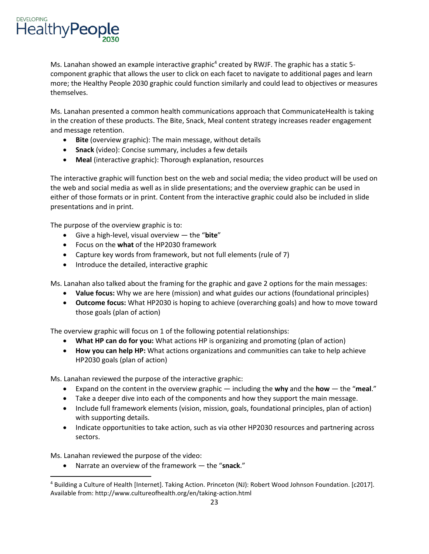

Ms. Lanahan showed an example interactive graphic<sup>4</sup> created by RWJF. The graphic has a static 5component graphic that allows the user to click on each facet to navigate to additional pages and learn more; the Healthy People 2030 graphic could function similarly and could lead to objectives or measures themselves.

Ms. Lanahan presented a common health communications approach that CommunicateHealth is taking in the creation of these products. The Bite, Snack, Meal content strategy increases reader engagement and message retention.

- **Bite** (overview graphic): The main message, without details
- **Snack** (video): Concise summary, includes a few details
- **Meal** (interactive graphic): Thorough explanation, resources

 The interactive graphic will function best on the web and social media; the video product will be used on the web and social media as well as in slide presentations; and the overview graphic can be used in either of those formats or in print. Content from the interactive graphic could also be included in slide presentations and in print.

The purpose of the overview graphic is to:

- Give a high-level, visual overview the "**bite**"
- Focus on the **what** of the HP2030 framework
- Capture key words from framework, but not full elements (rule of 7)
- Introduce the detailed, interactive graphic

Ms. Lanahan also talked about the framing for the graphic and gave 2 options for the main messages:

- **Value focus:** Why we are here (mission) and what guides our actions (foundational principles)
- • **Outcome focus:** What HP2030 is hoping to achieve (overarching goals) and how to move toward those goals (plan of action)

The overview graphic will focus on 1 of the following potential relationships:

- **What HP can do for you:** What actions HP is organizing and promoting (plan of action)
- **How you can help HP:** What actions organizations and communities can take to help achieve HP2030 goals (plan of action)

Ms. Lanahan reviewed the purpose of the interactive graphic:

- Expand on the content in the overview graphic including the **why** and the **how**  the "**meal**."
- Take a deeper dive into each of the components and how they support the main message.
- Include full framework elements (vision, mission, goals, foundational principles, plan of action) with supporting details.
- • Indicate opportunities to take action, such as via other HP2030 resources and partnering across sectors.

Ms. Lanahan reviewed the purpose of the video:

 $\overline{\phantom{a}}$ 

• Narrate an overview of the framework — the "**snack**."

<sup>4</sup> Building a Culture of Health [Internet]. Taking Action. Princeton (NJ): Robert Wood Johnson Foundation. [c2017]. Available from: http://www.cultureofhealth.org/en/taking-action.html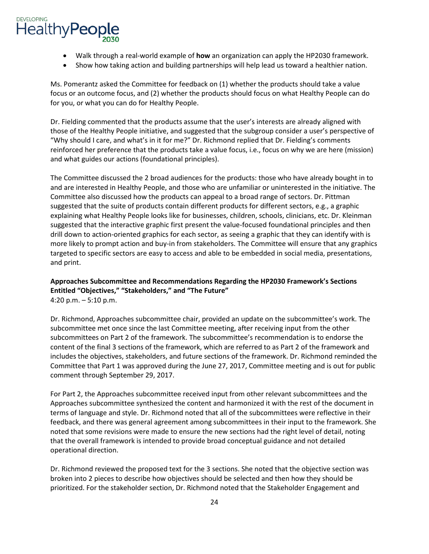- Walk through a real-world example of **how** an organization can apply the HP2030 framework.
- Show how taking action and building partnerships will help lead us toward a healthier nation.

 Ms. Pomerantz asked the Committee for feedback on (1) whether the products should take a value focus or an outcome focus, and (2) whether the products should focus on what Healthy People can do for you, or what you can do for Healthy People.

 Dr. Fielding commented that the products assume that the user's interests are already aligned with those of the Healthy People initiative, and suggested that the subgroup consider a user's perspective of reinforced her preference that the products take a value focus, i.e., focus on why we are here (mission) and what guides our actions (foundational principles). "Why should I care, and what's in it for me?" Dr. Richmond replied that Dr. Fielding's comments

 Committee also discussed how the products can appeal to a broad range of sectors. Dr. Pittman suggested that the suite of products contain different products for different sectors, e.g., a graphic explaining what Healthy People looks like for businesses, children, schools, clinicians, etc. Dr. Kleinman The Committee discussed the 2 broad audiences for the products: those who have already bought in to and are interested in Healthy People, and those who are unfamiliar or uninterested in the initiative. The suggested that the interactive graphic first present the value-focused foundational principles and then drill down to action-oriented graphics for each sector, as seeing a graphic that they can identify with is more likely to prompt action and buy-in from stakeholders. The Committee will ensure that any graphics targeted to specific sectors are easy to access and able to be embedded in social media, presentations, and print.

**Approaches Subcommittee and Recommendations Regarding the HP2030 Framework's Sections Entitled "Objectives," "Stakeholders," and "The Future"**  4:20 p.m. – 5:10 p.m.

 Dr. Richmond, Approaches subcommittee chair, provided an update on the subcommittee's work. The subcommittees on Part 2 of the framework. The subcommittee's recommendation is to endorse the content of the final 3 sections of the framework, which are referred to as Part 2 of the framework and Committee that Part 1 was approved during the June 27, 2017, Committee meeting and is out for public subcommittee met once since the last Committee meeting, after receiving input from the other includes the objectives, stakeholders, and future sections of the framework. Dr. Richmond reminded the comment through September 29, 2017.

 Approaches subcommittee synthesized the content and harmonized it with the rest of the document in For Part 2, the Approaches subcommittee received input from other relevant subcommittees and the terms of language and style. Dr. Richmond noted that all of the subcommittees were reflective in their feedback, and there was general agreement among subcommittees in their input to the framework. She noted that some revisions were made to ensure the new sections had the right level of detail, noting that the overall framework is intended to provide broad conceptual guidance and not detailed operational direction.

 Dr. Richmond reviewed the proposed text for the 3 sections. She noted that the objective section was prioritized. For the stakeholder section, Dr. Richmond noted that the Stakeholder Engagement and broken into 2 pieces to describe how objectives should be selected and then how they should be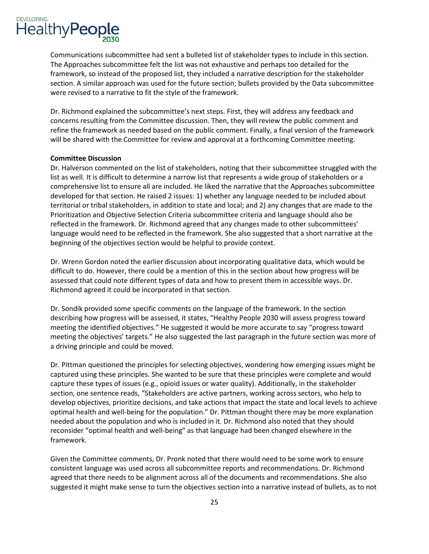

were revised to a narrative to fit the style of the framework. Communications subcommittee had sent a bulleted list of stakeholder types to include in this section. The Approaches subcommittee felt the list was not exhaustive and perhaps too detailed for the framework, so instead of the proposed list, they included a narrative description for the stakeholder section. A similar approach was used for the future section; bullets provided by the Data subcommittee

were revised to a narrative to fit the style of the framework.<br>Dr. Richmond explained the subcommittee's next steps. First, they will address any feedback and concerns resulting from the Committee discussion. Then, they will review the public comment and refine the framework as needed based on the public comment. Finally, a final version of the framework will be shared with the Committee for review and approval at a forthcoming Committee meeting.

#### **Committee Discussion**

 Dr. Halverson commented on the list of stakeholders, noting that their subcommittee struggled with the list as well. It is difficult to determine a narrow list that represents a wide group of stakeholders or a comprehensive list to ensure all are included. He liked the narrative that the Approaches subcommittee developed for that section. He raised 2 issues: 1) whether any language needed to be included about territorial or tribal stakeholders, in addition to state and local; and 2) any changes that are made to the Prioritization and Objective Selection Criteria subcommittee criteria and language should also be reflected in the framework. Dr. Richmond agreed that any changes made to other subcommittees' language would need to be reflected in the framework. She also suggested that a short narrative at the beginning of the objectives section would be helpful to provide context.

 Dr. Wrenn Gordon noted the earlier discussion about incorporating qualitative data, which would be difficult to do. However, there could be a mention of this in the section about how progress will be assessed that could note different types of data and how to present them in accessible ways. Dr. Richmond agreed it could be incorporated in that section.

 describing how progress will be assessed, it states, "Healthy People 2030 will assess progress toward meeting the objectives' targets." He also suggested the last paragraph in the future section was more of Dr. Sondik provided some specific comments on the language of the framework. In the section meeting the identified objectives." He suggested it would be more accurate to say "progress toward a driving principle and could be moved.

 Dr. Pittman questioned the principles for selecting objectives, wondering how emerging issues might be captured using these principles. She wanted to be sure that these principles were complete and would capture these types of issues (e.g., opioid issues or water quality). Additionally, in the stakeholder section, one sentence reads, "Stakeholders are active partners, working across sectors, who help to develop objectives, prioritize decisions, and take actions that impact the state and local levels to achieve optimal health and well-being for the population." Dr. Pittman thought there may be more explanation needed about the population and who is included in it. Dr. Richmond also noted that they should reconsider "optimal health and well-being" as that language had been changed elsewhere in the framework.

Given the Committee comments, Dr. Pronk noted that there would need to be some work to ensure consistent language was used across all subcommittee reports and recommendations. Dr. Richmond agreed that there needs to be alignment across all of the documents and recommendations. She also suggested it might make sense to turn the objectives section into a narrative instead of bullets, as to not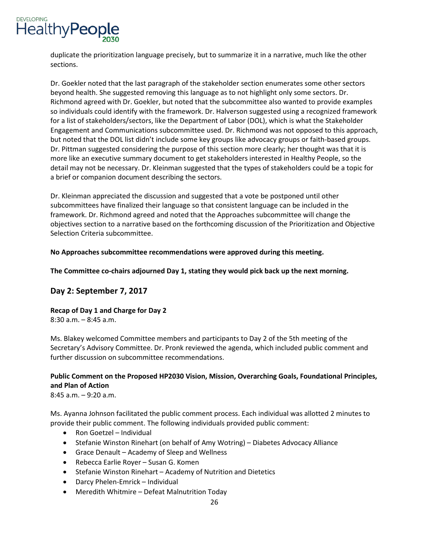

 duplicate the prioritization language precisely, but to summarize it in a narrative, much like the other sections.

sections.<br>Dr. Goekler noted that the last paragraph of the stakeholder section enumerates some other sectors beyond health. She suggested removing this language as to not highlight only some sectors. Dr. Richmond agreed with Dr. Goekler, but noted that the subcommittee also wanted to provide examples so individuals could identify with the framework. Dr. Halverson suggested using a recognized framework for a list of stakeholders/sectors, like the Department of Labor (DOL), which is what the Stakeholder Engagement and Communications subcommittee used. Dr. Richmond was not opposed to this approach, but noted that the DOL list didn't include some key groups like advocacy groups or faith-based groups. Dr. Pittman suggested considering the purpose of this section more clearly; her thought was that it is more like an executive summary document to get stakeholders interested in Healthy People, so the detail may not be necessary. Dr. Kleinman suggested that the types of stakeholders could be a topic for a brief or companion document describing the sectors.

 subcommittees have finalized their language so that consistent language can be included in the Dr. Kleinman appreciated the discussion and suggested that a vote be postponed until other framework. Dr. Richmond agreed and noted that the Approaches subcommittee will change the objectives section to a narrative based on the forthcoming discussion of the Prioritization and Objective Selection Criteria subcommittee.

**No Approaches subcommittee recommendations were approved during this meeting.** 

**The Committee co-chairs adjourned Day 1, stating they would pick back up the next morning.** 

## **Day 2: September 7, 2017**

 **Recap of Day 1 and Charge for Day 2** 

8:30 a.m. – 8:45 a.m.

 Ms. Blakey welcomed Committee members and participants to Day 2 of the 5th meeting of the Secretary's Advisory Committee. Dr. Pronk reviewed the agenda, which included public comment and further discussion on subcommittee recommendations.

## **Public Comment on the Proposed HP2030 Vision, Mission, Overarching Goals, Foundational Principles, and Plan of Action**

8:45 a.m. – 9:20 a.m.

Ms. Ayanna Johnson facilitated the public comment process. Each individual was allotted 2 minutes to provide their public comment. The following individuals provided public comment:

- Ron Goetzel Individual
- Stefanie Winston Rinehart (on behalf of Amy Wotring) Diabetes Advocacy Alliance
- Grace Denault Academy of Sleep and Wellness
- Rebecca Earlie Royer Susan G. Komen
- Stefanie Winston Rinehart Academy of Nutrition and Dietetics
- Darcy Phelen-Emrick Individual
- Meredith Whitmire Defeat Malnutrition Today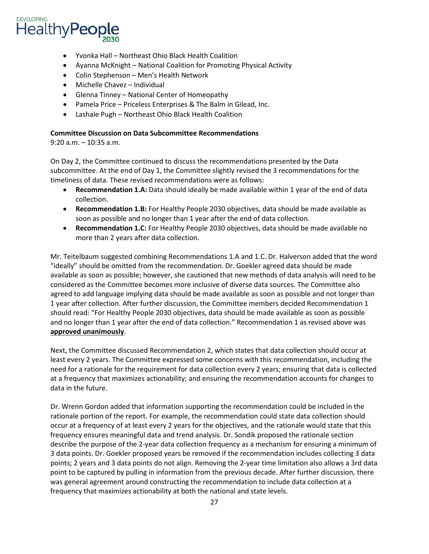

- Yvonka Hall Northeast Ohio Black Health Coalition
- Ayanna McKnight National Coalition for Promoting Physical Activity
- Colin Stephenson Men's Health Network
- Michelle Chavez Individual
- Glenna Tinney National Center of Homeopathy
- Pamela Price Priceless Enterprises & The Balm in Gilead, Inc.
- Lashale Pugh Northeast Ohio Black Health Coalition

#### **Committee Discussion on Data Subcommittee Recommendations**

9:20 a.m. – 10:35 a.m.

 On Day 2, the Committee continued to discuss the recommendations presented by the Data subcommittee. At the end of Day 1, the Committee slightly revised the 3 recommendations for the timeliness of data. These revised recommendations were as follows:

- • **Recommendation 1.A:** Data should ideally be made available within 1 year of the end of data collection.
- • **Recommendation 1.B:** For Healthy People 2030 objectives, data should be made available as soon as possible and no longer than 1 year after the end of data collection.
- • **Recommendation 1.C:** For Healthy People 2030 objectives, data should be made available no more than 2 years after data collection.

Mr. Teitelbaum suggested combining Recommendations 1.A and 1.C. Dr. Halverson added that the word "ideally" should be omitted from the recommendation. Dr. Goekler agreed data should be made available as soon as possible; however, she cautioned that new methods of data analysis will need to be considered as the Committee becomes more inclusive of diverse data sources. The Committee also agreed to add language implying data should be made available as soon as possible and not longer than 1 year after collection. After further discussion, the Committee members decided Recommendation 1 should read: "For Healthy People 2030 objectives, data should be made available as soon as possible and no longer than 1 year after the end of data collection." Recommendation 1 as revised above was **approved unanimously**.

 least every 2 years. The Committee expressed some concerns with this recommendation, including the at a frequency that maximizes actionability; and ensuring the recommendation accounts for changes to Next, the Committee discussed Recommendation 2, which states that data collection should occur at need for a rationale for the requirement for data collection every 2 years; ensuring that data is collected data in the future.

 frequency ensures meaningful data and trend analysis. Dr. Sondik proposed the rationale section describe the purpose of the 2-year data collection frequency as a mechanism for ensuring a minimum of was general agreement around constructing the recommendation to include data collection at a Dr. Wrenn Gordon added that information supporting the recommendation could be included in the rationale portion of the report. For example, the recommendation could state data collection should occur at a frequency of at least every 2 years for the objectives, and the rationale would state that this 3 data points. Dr. Goekler proposed years be removed if the recommendation includes collecting 3 data points; 2 years and 3 data points do not align. Removing the 2-year time limitation also allows a 3rd data point to be captured by pulling in information from the previous decade. After further discussion, there frequency that maximizes actionability at both the national and state levels.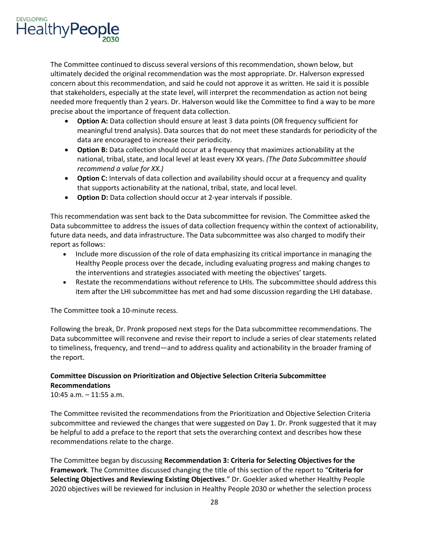

 The Committee continued to discuss several versions of this recommendation, shown below, but concern about this recommendation, and said he could not approve it as written. He said it is possible needed more frequently than 2 years. Dr. Halverson would like the Committee to find a way to be more precise about the importance of frequent data collection. ultimately decided the original recommendation was the most appropriate. Dr. Halverson expressed that stakeholders, especially at the state level, will interpret the recommendation as action not being

- meaningful trend analysis). Data sources that do not meet these standards for periodicity of the • **Option A:** Data collection should ensure at least 3 data points (OR frequency sufficient for data are encouraged to increase their periodicity.
- • **Option B:** Data collection should occur at a frequency that maximizes actionability at the national, tribal, state, and local level at least every XX years. *(The Data Subcommittee should recommend a value for XX.)*
- • **Option C:** Intervals of data collection and availability should occur at a frequency and quality that supports actionability at the national, tribal, state, and local level.
- **Option D:** Data collection should occur at 2-year intervals if possible.

 Data subcommittee to address the issues of data collection frequency within the context of actionability, This recommendation was sent back to the Data subcommittee for revision. The Committee asked the future data needs, and data infrastructure. The Data subcommittee was also charged to modify their report as follows:

- • Include more discussion of the role of data emphasizing its critical importance in managing the the interventions and strategies associated with meeting the objectives' targets. Healthy People process over the decade, including evaluating progress and making changes to
- item after the LHI subcommittee has met and had some discussion regarding the LHI database. The Committee took a 10-minute recess. • Restate the recommendations without reference to LHIs. The subcommittee should address this

Following the break, Dr. Pronk proposed next steps for the Data subcommittee recommendations. The Data subcommittee will reconvene and revise their report to include a series of clear statements related to timeliness, frequency, and trend—and to address quality and actionability in the broader framing of the report.

## **Committee Discussion on Prioritization and Objective Selection Criteria Subcommittee Recommendations**

10:45 a.m. – 11:55 a.m.

 The Committee revisited the recommendations from the Prioritization and Objective Selection Criteria subcommittee and reviewed the changes that were suggested on Day 1. Dr. Pronk suggested that it may be helpful to add a preface to the report that sets the overarching context and describes how these recommendations relate to the charge.

 The Committee began by discussing **Recommendation 3: Criteria for Selecting Objectives for the**  2020 objectives will be reviewed for inclusion in Healthy People 2030 or whether the selection process **Framework**. The Committee discussed changing the title of this section of the report to "**Criteria for Selecting Objectives and Reviewing Existing Objectives**." Dr. Goekler asked whether Healthy People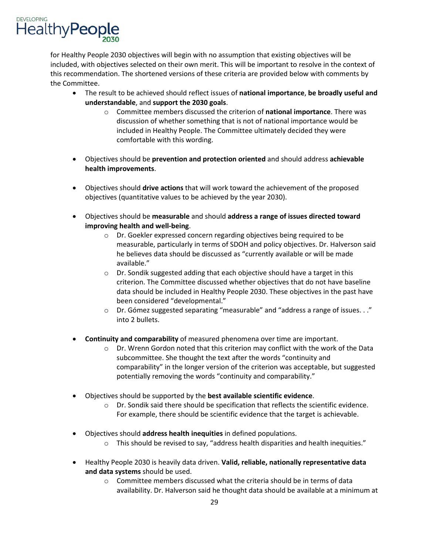for Healthy People 2030 objectives will begin with no assumption that existing objectives will be included, with objectives selected on their own merit. This will be important to resolve in the context of this recommendation. The shortened versions of these criteria are provided below with comments by the Committee.

- The result to be achieved should reflect issues of **national importance**, **be broadly useful and understandable**, and **support the 2030 goals**.
	- included in Healthy People. The Committee ultimately decided they were o Committee members discussed the criterion of **national importance**. There was discussion of whether something that is not of national importance would be comfortable with this wording.
- • Objectives should be **prevention and protection oriented** and should address **achievable health improvements**.
- Objectives should **drive actions** that will work toward the achievement of the proposed objectives (quantitative values to be achieved by the year 2030).
- • Objectives should be **measurable** and should **address a range of issues directed toward improving health and well-being**.
	- measurable, particularly in terms of SDOH and policy objectives. Dr. Halverson said he believes data should be discussed as "currently available or will be made o Dr. Goekler expressed concern regarding objectives being required to be available."
	- data should be included in Healthy People 2030. These objectives in the past have  $\circ$  Dr. Sondik suggested adding that each objective should have a target in this criterion. The Committee discussed whether objectives that do not have baseline been considered "developmental."
	- into 2 bullets. o Dr. Gómez suggested separating "measurable" and "address a range of issues. . ."
- **Continuity and comparability** of measured phenomena over time are important.
	- $\circ$  Dr. Wrenn Gordon noted that this criterion may conflict with the work of the Data subcommittee. She thought the text after the words "continuity and comparability" in the longer version of the criterion was acceptable, but suggested potentially removing the words "continuity and comparability."
- • Objectives should be supported by the **best available scientific evidence**.
	- $\circ$  Dr. Sondik said there should be specification that reflects the scientific evidence. For example, there should be scientific evidence that the target is achievable.
- Objectives should **address health inequities** in defined populations.
	- $\circ$  This should be revised to say, "address health disparities and health inequities."
- • Healthy People 2030 is heavily data driven. **Valid, reliable, nationally representative data and data systems** should be used.
	- o Committee members discussed what the criteria should be in terms of data availability. Dr. Halverson said he thought data should be available at a minimum at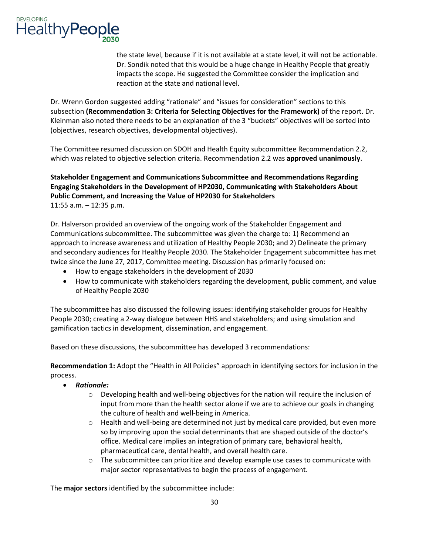

 the state level, because if it is not available at a state level, it will not be actionable. Dr. Sondik noted that this would be a huge change in Healthy People that greatly impacts the scope. He suggested the Committee consider the implication and reaction at the state and national level.

 Dr. Wrenn Gordon suggested adding "rationale" and "issues for consideration" sections to this (objectives, research objectives, developmental objectives). subsection **(Recommendation 3: Criteria for Selecting Objectives for the Framework)** of the report. Dr. Kleinman also noted there needs to be an explanation of the 3 "buckets" objectives will be sorted into

The Committee resumed discussion on SDOH and Health Equity subcommittee Recommendation 2.2, which was related to objective selection criteria. Recommendation 2.2 was **approved unanimously**.

**Stakeholder Engagement and Communications Subcommittee and Recommendations Regarding Engaging Stakeholders in the Development of HP2030, Communicating with Stakeholders About Public Comment, and Increasing the Value of HP2030 for Stakeholders**  11:55 a.m. – 12:35 p.m.

 Dr. Halverson provided an overview of the ongoing work of the Stakeholder Engagement and approach to increase awareness and utilization of Healthy People 2030; and 2) Delineate the primary twice since the June 27, 2017, Committee meeting. Discussion has primarily focused on: Communications subcommittee. The subcommittee was given the charge to: 1) Recommend an and secondary audiences for Healthy People 2030. The Stakeholder Engagement subcommittee has met

- How to engage stakeholders in the development of 2030
- • How to communicate with stakeholders regarding the development, public comment, and value of Healthy People 2030

The subcommittee has also discussed the following issues: identifying stakeholder groups for Healthy People 2030; creating a 2-way dialogue between HHS and stakeholders; and using simulation and gamification tactics in development, dissemination, and engagement.

Based on these discussions, the subcommittee has developed 3 recommendations:

 **Recommendation 1:** Adopt the "Health in All Policies" approach in identifying sectors for inclusion in the process.

- *Rationale:* 
	- input from more than the health sector alone if we are to achieve our goals in changing  $\circ$  Developing health and well-being objectives for the nation will require the inclusion of the culture of health and well-being in America.
	- $\circ$  Health and well-being are determined not just by medical care provided, but even more office. Medical care implies an integration of primary care, behavioral health, so by improving upon the social determinants that are shaped outside of the doctor's pharmaceutical care, dental health, and overall health care.
	- $\circ$  The subcommittee can prioritize and develop example use cases to communicate with major sector representatives to begin the process of engagement.

The **major sectors** identified by the subcommittee include: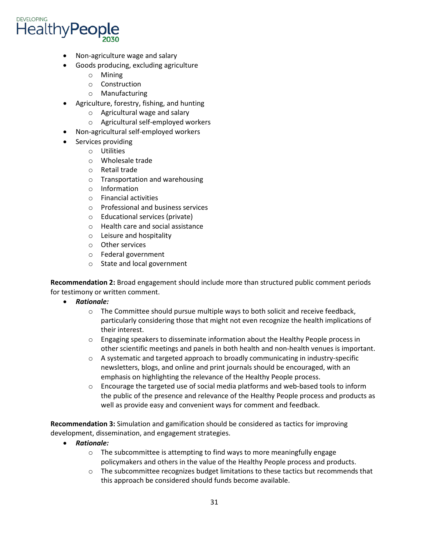

- Non-agriculture wage and salary
	- Goods producing, excluding agriculture
		- o Mining
		- o Construction
		- o Manufacturing
- Agriculture, forestry, fishing, and hunting
	- o Agricultural wage and salary
	- o Agricultural self-employed workers
- Non-agricultural self-employed workers
- • Services providing
	- o Utilities
	- o Wholesale trade
	- o Retail trade
	- o Transportation and warehousing
	- o Information
	- o Financial activities
	- o Professional and business services
	- o Educational services (private)
	- o Health care and social assistance
	- o Leisure and hospitality
	- o Other services
	- o Federal government
	- o State and local government

 for testimony or written comment. **Recommendation 2:** Broad engagement should include more than structured public comment periods

- *Rationale:* 
	- $\circ$  The Committee should pursue multiple ways to both solicit and receive feedback, particularly considering those that might not even recognize the health implications of their interest.
	- o Engaging speakers to disseminate information about the Healthy People process in other scientific meetings and panels in both health and non-health venues is important.
	- $\circ$  A systematic and targeted approach to broadly communicating in industry-specific newsletters, blogs, and online and print journals should be encouraged, with an emphasis on highlighting the relevance of the Healthy People process.
	- o Encourage the targeted use of social media platforms and web-based tools to inform the public of the presence and relevance of the Healthy People process and products as well as provide easy and convenient ways for comment and feedback.

**Recommendation 3:** Simulation and gamification should be considered as tactics for improving development, dissemination, and engagement strategies.

- *Rationale:* 
	- $\circ$  The subcommittee is attempting to find ways to more meaningfully engage policymakers and others in the value of the Healthy People process and products.
	- o The subcommittee recognizes budget limitations to these tactics but recommends that this approach be considered should funds become available.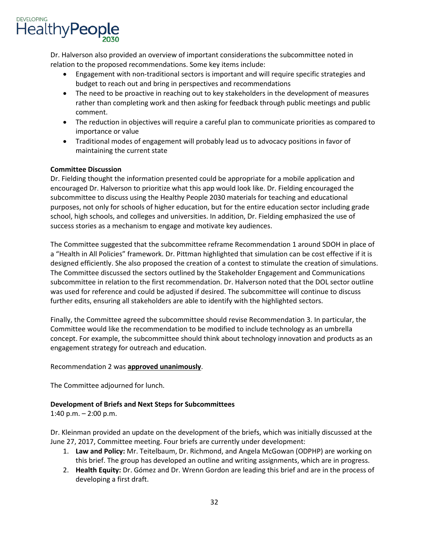

Dr. Halverson also provided an overview of important considerations the subcommittee noted in relation to the proposed recommendations. Some key items include:

- • Engagement with non-traditional sectors is important and will require specific strategies and budget to reach out and bring in perspectives and recommendations
- • The need to be proactive in reaching out to key stakeholders in the development of measures rather than completing work and then asking for feedback through public meetings and public comment.
- The reduction in objectives will require a careful plan to communicate priorities as compared to importance or value
- Traditional modes of engagement will probably lead us to advocacy positions in favor of maintaining the current state

### **Committee Discussion**

 encouraged Dr. Halverson to prioritize what this app would look like. Dr. Fielding encouraged the subcommittee to discuss using the Healthy People 2030 materials for teaching and educational purposes, not only for schools of higher education, but for the entire education sector including grade school, high schools, and colleges and universities. In addition, Dr. Fielding emphasized the use of success stories as a mechanism to engage and motivate key audiences. Dr. Fielding thought the information presented could be appropriate for a mobile application and

The Committee suggested that the subcommittee reframe Recommendation 1 around SDOH in place of a "Health in All Policies" framework. Dr. Pittman highlighted that simulation can be cost effective if it is designed efficiently. She also proposed the creation of a contest to stimulate the creation of simulations. The Committee discussed the sectors outlined by the Stakeholder Engagement and Communications subcommittee in relation to the first recommendation. Dr. Halverson noted that the DOL sector outline was used for reference and could be adjusted if desired. The subcommittee will continue to discuss further edits, ensuring all stakeholders are able to identify with the highlighted sectors.

 Committee would like the recommendation to be modified to include technology as an umbrella concept. For example, the subcommittee should think about technology innovation and products as an Finally, the Committee agreed the subcommittee should revise Recommendation 3. In particular, the engagement strategy for outreach and education.

#### Recommendation 2 was **approved unanimously**.

The Committee adjourned for lunch.

### **Development of Briefs and Next Steps for Subcommittees**

1:40 p.m.  $-$  2:00 p.m.

June 27, 2017, Committee meeting. Four briefs are currently under development: Dr. Kleinman provided an update on the development of the briefs, which was initially discussed at the

- June 27, 2017, Committee meeting. Four briefs are currently under development: 1. **Law and Policy:** Mr. Teitelbaum, Dr. Richmond, and Angela McGowan (ODPHP) are working on this brief. The group has developed an outline and writing assignments, which are in progress.
	- 2. **Health Equity:** Dr. Gómez and Dr. Wrenn Gordon are leading this brief and are in the process of developing a first draft.